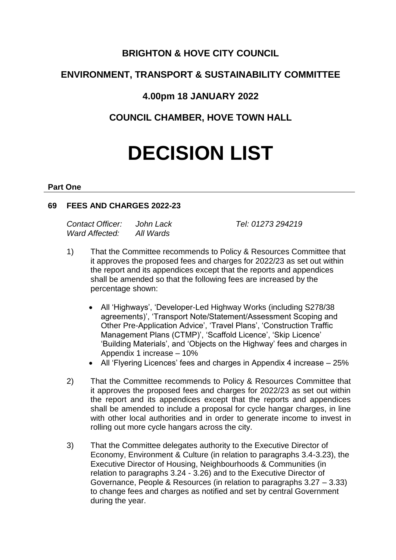## **BRIGHTON & HOVE CITY COUNCIL**

# **ENVIRONMENT, TRANSPORT & SUSTAINABILITY COMMITTEE**

## **4.00pm 18 JANUARY 2022**

**COUNCIL CHAMBER, HOVE TOWN HALL**

# **DECISION LIST**

#### **Part One**

#### **69 FEES AND CHARGES 2022-23**

| Contact Officer: | John Lack | Tel: 01273 294219 |
|------------------|-----------|-------------------|
| Ward Affected:   | All Wards |                   |

- 1) That the Committee recommends to Policy & Resources Committee that it approves the proposed fees and charges for 2022/23 as set out within the report and its appendices except that the reports and appendices shall be amended so that the following fees are increased by the percentage shown:
	- All 'Highways', 'Developer-Led Highway Works (including S278/38 agreements)', 'Transport Note/Statement/Assessment Scoping and Other Pre-Application Advice', 'Travel Plans', 'Construction Traffic Management Plans (CTMP)', 'Scaffold Licence', 'Skip Licence' 'Building Materials', and 'Objects on the Highway' fees and charges in Appendix 1 increase – 10%
	- All 'Flyering Licences' fees and charges in Appendix 4 increase 25%
- 2) That the Committee recommends to Policy & Resources Committee that it approves the proposed fees and charges for 2022/23 as set out within the report and its appendices except that the reports and appendices shall be amended to include a proposal for cycle hangar charges, in line with other local authorities and in order to generate income to invest in rolling out more cycle hangars across the city.
- 3) That the Committee delegates authority to the Executive Director of Economy, Environment & Culture (in relation to paragraphs 3.4-3.23), the Executive Director of Housing, Neighbourhoods & Communities (in relation to paragraphs 3.24 - 3.26) and to the Executive Director of Governance, People & Resources (in relation to paragraphs 3.27 – 3.33) to change fees and charges as notified and set by central Government during the year.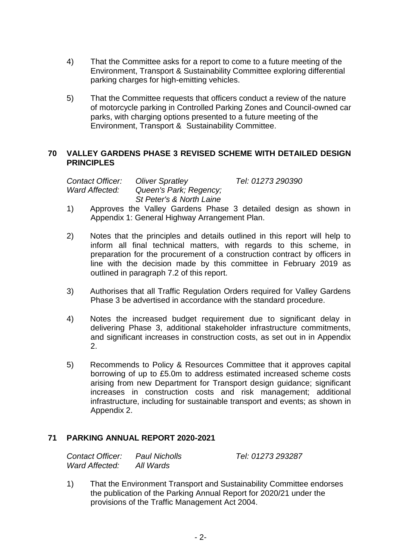- 4) That the Committee asks for a report to come to a future meeting of the Environment, Transport & Sustainability Committee exploring differential parking charges for high-emitting vehicles.
- 5) That the Committee requests that officers conduct a review of the nature of motorcycle parking in Controlled Parking Zones and Council-owned car parks, with charging options presented to a future meeting of the Environment, Transport & Sustainability Committee.

#### **70 VALLEY GARDENS PHASE 3 REVISED SCHEME WITH DETAILED DESIGN PRINCIPLES**

*Contact Officer: Oliver Spratley Tel: 01273 290390 Ward Affected: Queen's Park; Regency; St Peter's & North Laine*

- 1) Approves the Valley Gardens Phase 3 detailed design as shown in Appendix 1: General Highway Arrangement Plan.
- 2) Notes that the principles and details outlined in this report will help to inform all final technical matters, with regards to this scheme, in preparation for the procurement of a construction contract by officers in line with the decision made by this committee in February 2019 as outlined in paragraph 7.2 of this report.
- 3) Authorises that all Traffic Regulation Orders required for Valley Gardens Phase 3 be advertised in accordance with the standard procedure.
- 4) Notes the increased budget requirement due to significant delay in delivering Phase 3, additional stakeholder infrastructure commitments, and significant increases in construction costs, as set out in in Appendix 2.
- 5) Recommends to Policy & Resources Committee that it approves capital borrowing of up to £5.0m to address estimated increased scheme costs arising from new Department for Transport design guidance; significant increases in construction costs and risk management; additional infrastructure, including for sustainable transport and events; as shown in Appendix 2.

## **71 PARKING ANNUAL REPORT 2020-2021**

| Contact Officer: | <b>Paul Nicholls</b> | Tel: 01273 293287 |
|------------------|----------------------|-------------------|
| Ward Affected:   | All Wards            |                   |

1) That the Environment Transport and Sustainability Committee endorses the publication of the Parking Annual Report for 2020/21 under the provisions of the Traffic Management Act 2004.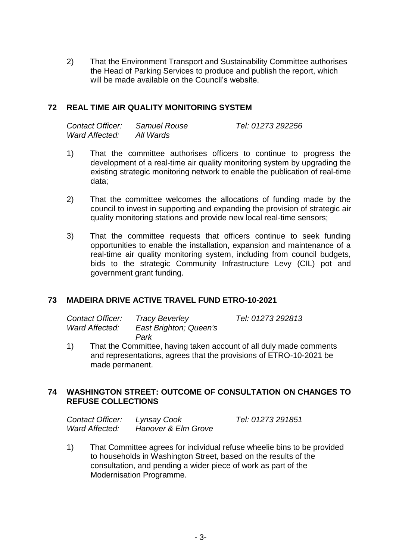2) That the Environment Transport and Sustainability Committee authorises the Head of Parking Services to produce and publish the report, which will be made available on the Council's website.

#### **72 REAL TIME AIR QUALITY MONITORING SYSTEM**

| Contact Officer: | Samuel Rouse | Tel: 01273 292256 |
|------------------|--------------|-------------------|
| Ward Affected:   | All Wards    |                   |

- 1) That the committee authorises officers to continue to progress the development of a real-time air quality monitoring system by upgrading the existing strategic monitoring network to enable the publication of real-time data;
- 2) That the committee welcomes the allocations of funding made by the council to invest in supporting and expanding the provision of strategic air quality monitoring stations and provide new local real-time sensors;
- 3) That the committee requests that officers continue to seek funding opportunities to enable the installation, expansion and maintenance of a real-time air quality monitoring system, including from council budgets, bids to the strategic Community Infrastructure Levy (CIL) pot and government grant funding.

## **73 MADEIRA DRIVE ACTIVE TRAVEL FUND ETRO-10-2021**

| Contact Officer: | <b>Tracy Beverley</b>  | Tel: 01273 292813 |
|------------------|------------------------|-------------------|
| Ward Affected:   | East Brighton; Queen's |                   |
|                  | Park                   |                   |

1) That the Committee, having taken account of all duly made comments and representations, agrees that the provisions of ETRO-10-2021 be made permanent.

#### **74 WASHINGTON STREET: OUTCOME OF CONSULTATION ON CHANGES TO REFUSE COLLECTIONS**

| Contact Officer: | Lynsay Cook         | Tel: 01273 291851 |
|------------------|---------------------|-------------------|
| Ward Affected:   | Hanover & Elm Grove |                   |

1) That Committee agrees for individual refuse wheelie bins to be provided to households in Washington Street, based on the results of the consultation, and pending a wider piece of work as part of the Modernisation Programme.